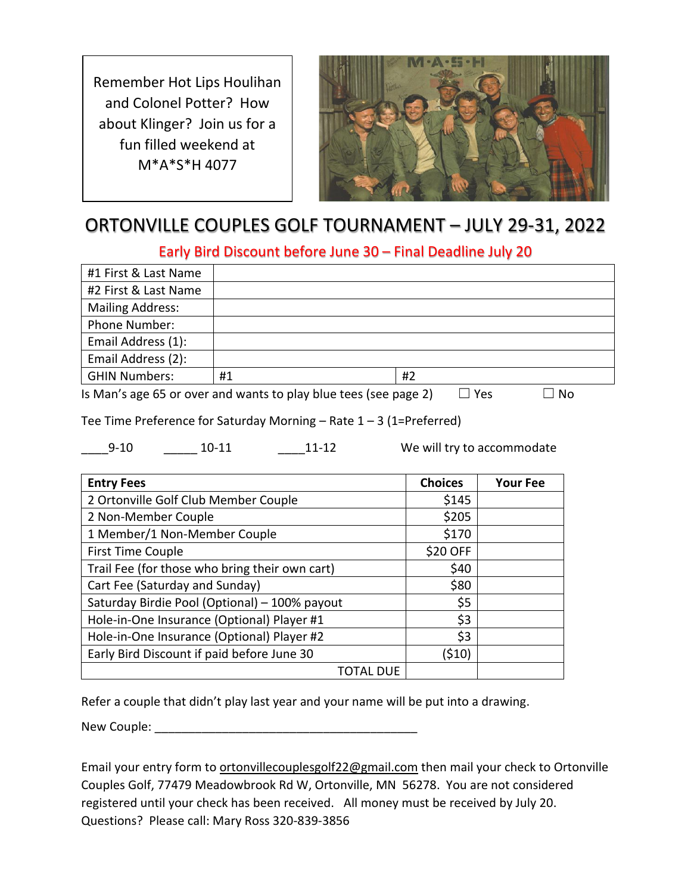Remember Hot Lips Houlihan and Colonel Potter? How about Klinger? Join us for a fun filled weekend at M\*A\*S\*H 4077



# ORTONVILLE COUPLES GOLF TOURNAMENT – JULY 29-31, 2022

Early Bird Discount before June 30 – Final Deadline July 20

| #1 First & Last Name                                                             |    |    |  |  |
|----------------------------------------------------------------------------------|----|----|--|--|
| #2 First & Last Name                                                             |    |    |  |  |
| <b>Mailing Address:</b>                                                          |    |    |  |  |
| Phone Number:                                                                    |    |    |  |  |
| Email Address (1):                                                               |    |    |  |  |
| Email Address (2):                                                               |    |    |  |  |
| <b>GHIN Numbers:</b>                                                             | #1 | #2 |  |  |
| Is Man's age 65 or over and wants to play blue tees (see page 2)<br>Yes<br>∟l No |    |    |  |  |

Tee Time Preference for Saturday Morning  $-$  Rate  $1 - 3$  (1=Preferred)

9-10 10-11 11-12 We will try to accommodate

| <b>Entry Fees</b>                              | <b>Choices</b> | <b>Your Fee</b> |
|------------------------------------------------|----------------|-----------------|
| 2 Ortonville Golf Club Member Couple           | \$145          |                 |
| 2 Non-Member Couple                            | \$205          |                 |
| 1 Member/1 Non-Member Couple                   | \$170          |                 |
| First Time Couple                              | \$20 OFF       |                 |
| Trail Fee (for those who bring their own cart) | \$40           |                 |
| Cart Fee (Saturday and Sunday)                 | \$80           |                 |
| Saturday Birdie Pool (Optional) - 100% payout  | \$5            |                 |
| Hole-in-One Insurance (Optional) Player #1     | \$3            |                 |
| Hole-in-One Insurance (Optional) Player #2     | \$3            |                 |
| Early Bird Discount if paid before June 30     | (\$10)         |                 |
| TOTAL DUE                                      |                |                 |

Refer a couple that didn't play last year and your name will be put into a drawing.

New Couple: \_\_\_\_\_\_\_\_\_\_\_\_\_\_\_\_\_\_\_\_\_\_\_\_\_\_\_\_\_\_\_\_\_\_\_\_\_\_\_

Email your entry form t[o ortonvillecouplesgolf22@gmail.com](mailto:ortonvillecouplesgolf22@gmail.com) then mail your check to Ortonville Couples Golf, 77479 Meadowbrook Rd W, Ortonville, MN 56278. You are not considered registered until your check has been received. All money must be received by July 20. Questions? Please call: Mary Ross 320-839-3856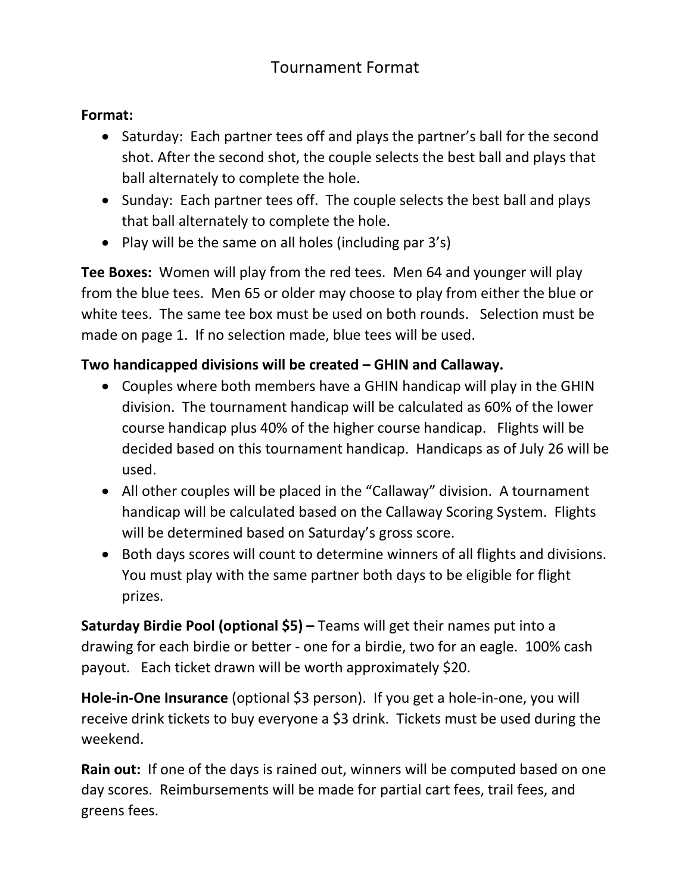# Tournament Format

#### **Format:**

- Saturday: Each partner tees off and plays the partner's ball for the second shot. After the second shot, the couple selects the best ball and plays that ball alternately to complete the hole.
- Sunday: Each partner tees off. The couple selects the best ball and plays that ball alternately to complete the hole.
- Play will be the same on all holes (including par 3's)

**Tee Boxes:** Women will play from the red tees. Men 64 and younger will play from the blue tees. Men 65 or older may choose to play from either the blue or white tees. The same tee box must be used on both rounds. Selection must be made on page 1. If no selection made, blue tees will be used.

### **Two handicapped divisions will be created – GHIN and Callaway.**

- Couples where both members have a GHIN handicap will play in the GHIN division. The tournament handicap will be calculated as 60% of the lower course handicap plus 40% of the higher course handicap. Flights will be decided based on this tournament handicap. Handicaps as of July 26 will be used.
- All other couples will be placed in the "Callaway" division. A tournament handicap will be calculated based on the Callaway Scoring System. Flights will be determined based on Saturday's gross score.
- Both days scores will count to determine winners of all flights and divisions. You must play with the same partner both days to be eligible for flight prizes.

**Saturday Birdie Pool (optional \$5) –** Teams will get their names put into a drawing for each birdie or better - one for a birdie, two for an eagle. 100% cash payout. Each ticket drawn will be worth approximately \$20.

**Hole-in-One Insurance** (optional \$3 person). If you get a hole-in-one, you will receive drink tickets to buy everyone a \$3 drink. Tickets must be used during the weekend.

**Rain out:** If one of the days is rained out, winners will be computed based on one day scores. Reimbursements will be made for partial cart fees, trail fees, and greens fees.